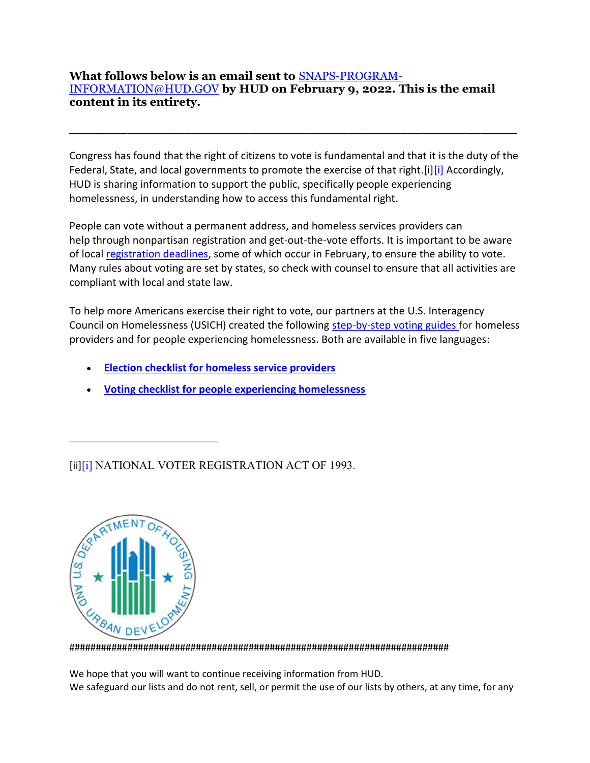## What follows below is an email sent to SNAPS-PROGRAM-INFORMATION@HUD.GOV by HUD on February 9, 2022. This is the email content in its entirety.

Congress has found that the right of citizens to vote is fundamental and that it is the duty of the Federal, State, and local governments to promote the exercise of that right. [i][i] Accordingly, HUD is sharing information to support the public, specifically people experiencing homelessness, in understanding how to access this fundamental right.

\_\_\_\_\_\_\_\_\_\_\_\_\_\_\_\_\_\_\_\_\_\_\_\_\_\_\_\_\_\_\_\_\_\_\_\_\_\_\_\_\_\_\_\_\_\_\_\_\_\_\_\_\_\_\_\_\_\_\_\_\_\_\_\_\_\_\_\_\_\_\_\_\_\_\_\_\_\_\_\_\_\_\_\_\_

People can vote without a permanent address, and homeless services providers can help through nonpartisan registration and get-out-the-vote efforts. It is important to be aware of local registration deadlines, some of which occur in February, to ensure the ability to vote. Many rules about voting are set by states, so check with counsel to ensure that all activities are compliant with local and state law.

To help more Americans exercise their right to vote, our partners at the U.S. Interagency Council on Homelessness (USICH) created the following step-by-step voting guides for homeless providers and for people experiencing homelessness. Both are available in five languages:

- Election checklist for homeless service providers
- Voting checklist for people experiencing homelessness

[ii][i] NATIONAL VOTER REGISTRATION ACT OF 1993.



########################################################################

We hope that you will want to continue receiving information from HUD. We safeguard our lists and do not rent, sell, or permit the use of our lists by others, at any time, for any